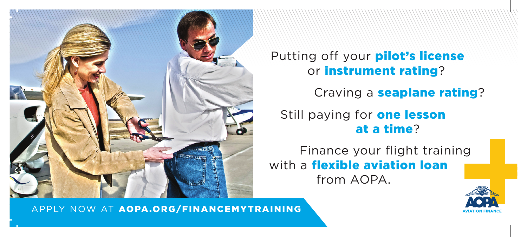

Putting off your **pilot's license** or instrument rating?

Craving a **seaplane rating**?

Still paying for **one lesson** at a time?

Finance your flight training with a **flexible aviation loan** from AOPA.



APPLY NOW AT AOPA.ORG/FINANCEMYTRAINING